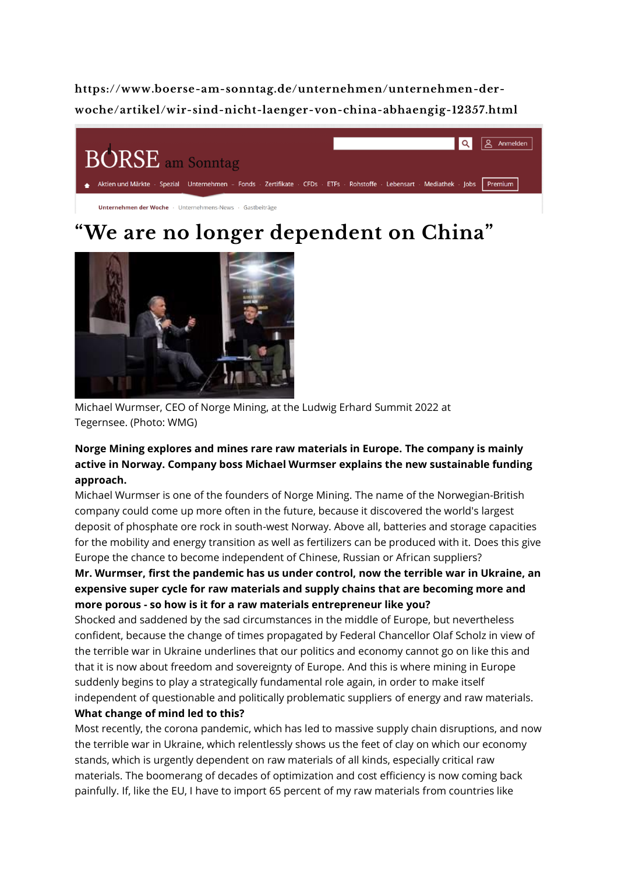**https://www.boerse-am-sonntag.de/unternehmen/unternehmen-derwoche/artikel/wir-sind-nicht-laenger-von-china-abhaengig-12357.html**



# **"We are no longer dependent on China"**



Michael Wurmser, CEO of Norge Mining, at the Ludwig Erhard Summit 2022 at Tegernsee. (Photo: WMG)

# **Norge Mining explores and mines rare raw materials in Europe. The company is mainly active in Norway. Company boss Michael Wurmser explains the new sustainable funding approach.**

Michael Wurmser is one of the founders of Norge Mining. The name of the Norwegian-British company could come up more often in the future, because it discovered the world's largest deposit of phosphate ore rock in south-west Norway. Above all, batteries and storage capacities for the mobility and energy transition as well as fertilizers can be produced with it. Does this give Europe the chance to become independent of Chinese, Russian or African suppliers?

# **Mr. Wurmser, first the pandemic has us under control, now the terrible war in Ukraine, an expensive super cycle for raw materials and supply chains that are becoming more and more porous - so how is it for a raw materials entrepreneur like you?**

Shocked and saddened by the sad circumstances in the middle of Europe, but nevertheless confident, because the change of times propagated by Federal Chancellor Olaf Scholz in view of the terrible war in Ukraine underlines that our politics and economy cannot go on like this and that it is now about freedom and sovereignty of Europe. And this is where mining in Europe suddenly begins to play a strategically fundamental role again, in order to make itself independent of questionable and politically problematic suppliers of energy and raw materials. **What change of mind led to this?**

Most recently, the corona pandemic, which has led to massive supply chain disruptions, and now the terrible war in Ukraine, which relentlessly shows us the feet of clay on which our economy stands, which is urgently dependent on raw materials of all kinds, especially critical raw materials. The boomerang of decades of optimization and cost efficiency is now coming back painfully. If, like the EU, I have to import 65 percent of my raw materials from countries like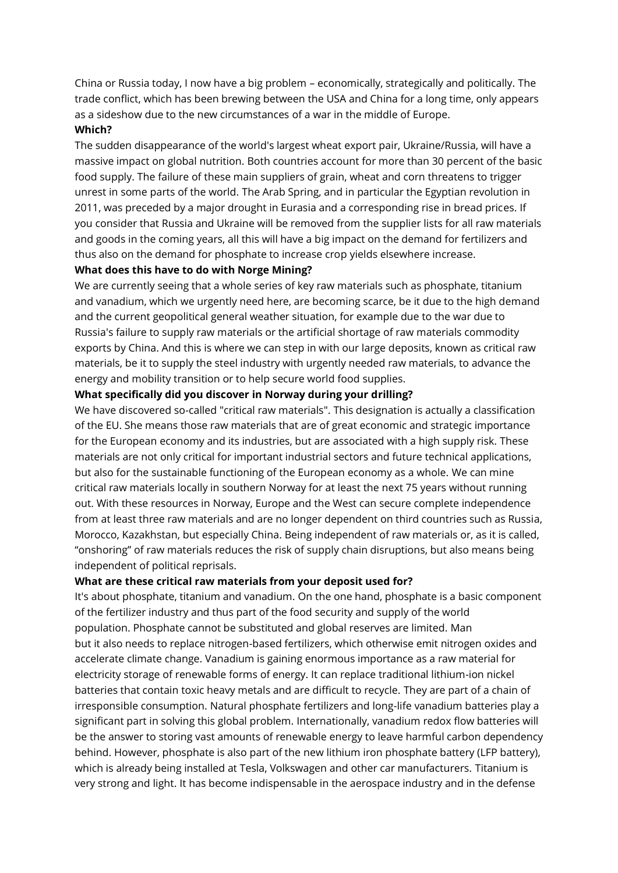China or Russia today, I now have a big problem – economically, strategically and politically. The trade conflict, which has been brewing between the USA and China for a long time, only appears as a sideshow due to the new circumstances of a war in the middle of Europe.

# **Which?**

The sudden disappearance of the world's largest wheat export pair, Ukraine/Russia, will have a massive impact on global nutrition. Both countries account for more than 30 percent of the basic food supply. The failure of these main suppliers of grain, wheat and corn threatens to trigger unrest in some parts of the world. The Arab Spring, and in particular the Egyptian revolution in 2011, was preceded by a major drought in Eurasia and a corresponding rise in bread prices. If you consider that Russia and Ukraine will be removed from the supplier lists for all raw materials and goods in the coming years, all this will have a big impact on the demand for fertilizers and thus also on the demand for phosphate to increase crop yields elsewhere increase.

#### **What does this have to do with Norge Mining?**

We are currently seeing that a whole series of key raw materials such as phosphate, titanium and vanadium, which we urgently need here, are becoming scarce, be it due to the high demand and the current geopolitical general weather situation, for example due to the war due to Russia's failure to supply raw materials or the artificial shortage of raw materials commodity exports by China. And this is where we can step in with our large deposits, known as critical raw materials, be it to supply the steel industry with urgently needed raw materials, to advance the energy and mobility transition or to help secure world food supplies.

#### **What specifically did you discover in Norway during your drilling?**

We have discovered so-called "critical raw materials". This designation is actually a classification of the EU. She means those raw materials that are of great economic and strategic importance for the European economy and its industries, but are associated with a high supply risk. These materials are not only critical for important industrial sectors and future technical applications, but also for the sustainable functioning of the European economy as a whole. We can mine critical raw materials locally in southern Norway for at least the next 75 years without running out. With these resources in Norway, Europe and the West can secure complete independence from at least three raw materials and are no longer dependent on third countries such as Russia, Morocco, Kazakhstan, but especially China. Being independent of raw materials or, as it is called, "onshoring" of raw materials reduces the risk of supply chain disruptions, but also means being independent of political reprisals.

#### **What are these critical raw materials from your deposit used for?**

It's about phosphate, titanium and vanadium. On the one hand, phosphate is a basic component of the fertilizer industry and thus part of the food security and supply of the world population. Phosphate cannot be substituted and global reserves are limited. Man but it also needs to replace nitrogen-based fertilizers, which otherwise emit nitrogen oxides and accelerate climate change. Vanadium is gaining enormous importance as a raw material for electricity storage of renewable forms of energy. It can replace traditional lithium-ion nickel batteries that contain toxic heavy metals and are difficult to recycle. They are part of a chain of irresponsible consumption. Natural phosphate fertilizers and long-life vanadium batteries play a significant part in solving this global problem. Internationally, vanadium redox flow batteries will be the answer to storing vast amounts of renewable energy to leave harmful carbon dependency behind. However, phosphate is also part of the new lithium iron phosphate battery (LFP battery), which is already being installed at Tesla, Volkswagen and other car manufacturers. Titanium is very strong and light. It has become indispensable in the aerospace industry and in the defense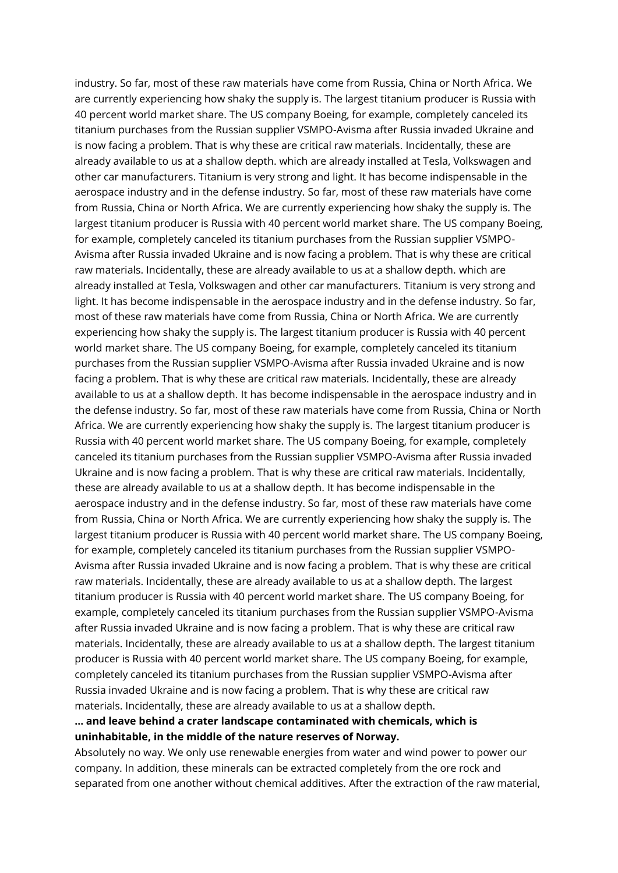industry. So far, most of these raw materials have come from Russia, China or North Africa. We are currently experiencing how shaky the supply is. The largest titanium producer is Russia with 40 percent world market share. The US company Boeing, for example, completely canceled its titanium purchases from the Russian supplier VSMPO-Avisma after Russia invaded Ukraine and is now facing a problem. That is why these are critical raw materials. Incidentally, these are already available to us at a shallow depth. which are already installed at Tesla, Volkswagen and other car manufacturers. Titanium is very strong and light. It has become indispensable in the aerospace industry and in the defense industry. So far, most of these raw materials have come from Russia, China or North Africa. We are currently experiencing how shaky the supply is. The largest titanium producer is Russia with 40 percent world market share. The US company Boeing, for example, completely canceled its titanium purchases from the Russian supplier VSMPO-Avisma after Russia invaded Ukraine and is now facing a problem. That is why these are critical raw materials. Incidentally, these are already available to us at a shallow depth. which are already installed at Tesla, Volkswagen and other car manufacturers. Titanium is very strong and light. It has become indispensable in the aerospace industry and in the defense industry. So far, most of these raw materials have come from Russia, China or North Africa. We are currently experiencing how shaky the supply is. The largest titanium producer is Russia with 40 percent world market share. The US company Boeing, for example, completely canceled its titanium purchases from the Russian supplier VSMPO-Avisma after Russia invaded Ukraine and is now facing a problem. That is why these are critical raw materials. Incidentally, these are already available to us at a shallow depth. It has become indispensable in the aerospace industry and in the defense industry. So far, most of these raw materials have come from Russia, China or North Africa. We are currently experiencing how shaky the supply is. The largest titanium producer is Russia with 40 percent world market share. The US company Boeing, for example, completely canceled its titanium purchases from the Russian supplier VSMPO-Avisma after Russia invaded Ukraine and is now facing a problem. That is why these are critical raw materials. Incidentally, these are already available to us at a shallow depth. It has become indispensable in the aerospace industry and in the defense industry. So far, most of these raw materials have come from Russia, China or North Africa. We are currently experiencing how shaky the supply is. The largest titanium producer is Russia with 40 percent world market share. The US company Boeing, for example, completely canceled its titanium purchases from the Russian supplier VSMPO-Avisma after Russia invaded Ukraine and is now facing a problem. That is why these are critical raw materials. Incidentally, these are already available to us at a shallow depth. The largest titanium producer is Russia with 40 percent world market share. The US company Boeing, for example, completely canceled its titanium purchases from the Russian supplier VSMPO-Avisma after Russia invaded Ukraine and is now facing a problem. That is why these are critical raw materials. Incidentally, these are already available to us at a shallow depth. The largest titanium producer is Russia with 40 percent world market share. The US company Boeing, for example, completely canceled its titanium purchases from the Russian supplier VSMPO-Avisma after Russia invaded Ukraine and is now facing a problem. That is why these are critical raw materials. Incidentally, these are already available to us at a shallow depth.

# **... and leave behind a crater landscape contaminated with chemicals, which is uninhabitable, in the middle of the nature reserves of Norway.**

Absolutely no way. We only use renewable energies from water and wind power to power our company. In addition, these minerals can be extracted completely from the ore rock and separated from one another without chemical additives. After the extraction of the raw material,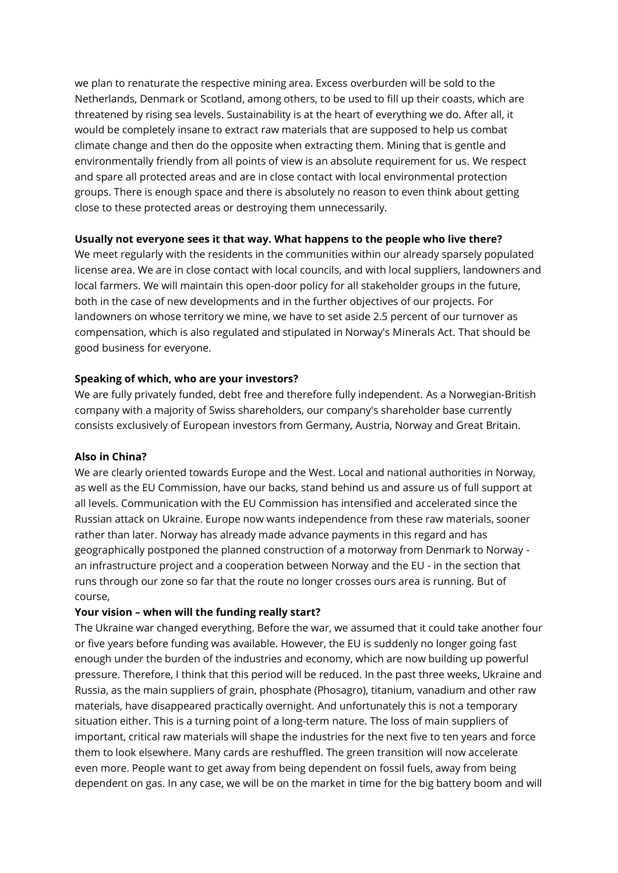we plan to renaturate the respective mining area. Excess overburden will be sold to the Netherlands, Denmark or Scotland, among others, to be used to fill up their coasts, which are threatened by rising sea levels. Sustainability is at the heart of everything we do. After all, it would be completely insane to extract raw materials that are supposed to help us combat climate change and then do the opposite when extracting them. Mining that is gentle and environmentally friendly from all points of view is an absolute requirement for us. We respect and spare all protected areas and are in close contact with local environmental protection groups. There is enough space and there is absolutely no reason to even think about getting close to these protected areas or destroying them unnecessarily.

# **Usually not everyone sees it that way. What happens to the people who live there?**

We meet regularly with the residents in the communities within our already sparsely populated license area. We are in close contact with local councils, and with local suppliers, landowners and local farmers. We will maintain this open-door policy for all stakeholder groups in the future, both in the case of new developments and in the further objectives of our projects. For landowners on whose territory we mine, we have to set aside 2.5 percent of our turnover as compensation, which is also regulated and stipulated in Norway's Minerals Act. That should be good business for everyone.

### **Speaking of which, who are your investors?**

We are fully privately funded, debt free and therefore fully independent. As a Norwegian-British company with a majority of Swiss shareholders, our company's shareholder base currently consists exclusively of European investors from Germany, Austria, Norway and Great Britain.

#### **Also in China?**

We are clearly oriented towards Europe and the West. Local and national authorities in Norway, as well as the EU Commission, have our backs, stand behind us and assure us of full support at all levels. Communication with the EU Commission has intensified and accelerated since the Russian attack on Ukraine. Europe now wants independence from these raw materials, sooner rather than later. Norway has already made advance payments in this regard and has geographically postponed the planned construction of a motorway from Denmark to Norway an infrastructure project and a cooperation between Norway and the EU - in the section that runs through our zone so far that the route no longer crosses ours area is running. But of course,

#### **Your vision – when will the funding really start?**

The Ukraine war changed everything. Before the war, we assumed that it could take another four or five years before funding was available. However, the EU is suddenly no longer going fast enough under the burden of the industries and economy, which are now building up powerful pressure. Therefore, I think that this period will be reduced. In the past three weeks, Ukraine and Russia, as the main suppliers of grain, phosphate (Phosagro), titanium, vanadium and other raw materials, have disappeared practically overnight. And unfortunately this is not a temporary situation either. This is a turning point of a long-term nature. The loss of main suppliers of important, critical raw materials will shape the industries for the next five to ten years and force them to look elsewhere. Many cards are reshuffled. The green transition will now accelerate even more. People want to get away from being dependent on fossil fuels, away from being dependent on gas. In any case, we will be on the market in time for the big battery boom and will